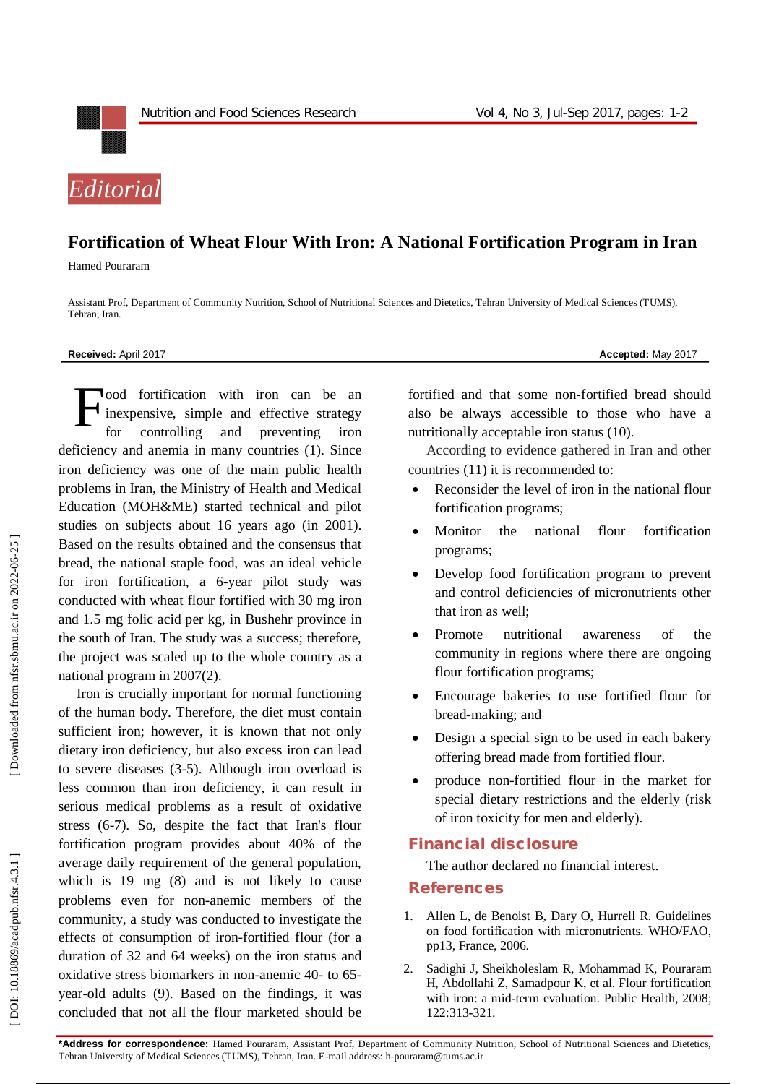

## **Fortification of Wheat Flour With Iron: A National Fortification Program in Iran**

Hamed Pouraram

Assistant Prof, Department of Community Nutrition, School of Nutritional Sciences and Dietetics, Tehran University of Medical Sciences (TUMS), Tehran, Iran .

## **Received:** April 201 7 **Accepted:** May 201 7

lood fortification with iron can be an inexpensive, simple and effective strategy for controlling and preventing iron deficiency and anemia in many countries (1). Since iron deficiency was one of the main public health problems in Iran, the Ministry of Health and Medical Education (MOH&ME) started technical and pilot studies on subjects about 16 years ago (in 2001). Based on the results obtained and the consensus that bread, the national staple food, was an ideal vehicle for iron fortification, a 6 -year pilot study was conducted with wheat flour fortified with 30 mg iron and 1.5 mg folic acid per kg, in Bushehr province in the south of Iran. The study was a success; therefore, the project was scaled up to the whole country as a national program in 2007(2). F

Iron is crucially important for normal functioning of the human body. Therefore, the diet must contain sufficient iron; however, it is known that not only dietary iron deficiency, but also excess iron can lead to severe diseases (3 -5). Although iron overload is less common than iron deficiency, it can result in serious medical problems as a result of oxidative stress (6 -7). So, despite the fact that Iran's flour fortification program provides about 40% of the average daily requirement of the general population, which is 19 mg (8) and is not likely to cause problems even for non -anemic members of the community, a study was conducted to investigate the effects of consumption of iron -fortified flour (for a duration of 32 and 64 weeks) on the iron status and oxidative stress biomarkers in non-anemic 40- to 65year -old adults (9). Based on the findings, it was concluded that not all the flour marketed should be

fortified and that some non -fortified bread should also be always accessible to those who have a nutritionally acceptable iron status (10).

According to evidence gathered in Iran and other countries (11) it is recommended to:

- Reconsider the level of iron in the national flour fortification programs;
- Monitor the national flour fortification programs;
- Develop food fortification program to prevent and control deficiencies of micronutrients other that iron as well;
- Promote nutritional awareness of the community in regions where there are ongoing flour fortification programs;
- Encourage bakeries to use fortified flour for bread -making; and
- Design a special sign to be used in each bakery offering bread made from fortified flour.
- produce non-fortified flour in the market for special dietary restrictions and the elderly (risk of iron toxicity for men and elderly).

## **Financial disclosure**

The author declared no financial interest.

## **References**

- 1 . Allen L, de Benoist B, Dary O, Hurrell R. Guidelines on food fortification with micronutrients. WHO/FAO, pp13, France, 2006.
- 2. . Sadighi J, Sheikholeslam R, Mohammad K, Pouraram H, Abdollahi Z, Samadpour K, et al. Flour fortification with iron: a mid -term evaluation. Public Health, 2008; 122:313 -321.

**\*Address for correspondence:** Hamed Pouraram, Assistant Prof, Department of Community Nutrition, School of Nutritional Sciences and Dietetics, Tehran University of Medical Sciences (TUMS), Tehran, Iran. E -mail address: h -pouraram@tums.ac.ir